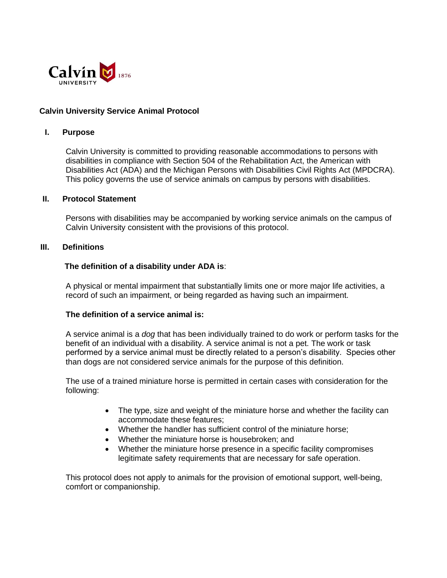

## **Calvin University Service Animal Protocol**

### **I. Purpose**

Calvin University is committed to providing reasonable accommodations to persons with disabilities in compliance with Section 504 of the Rehabilitation Act, the American with Disabilities Act (ADA) and the Michigan Persons with Disabilities Civil Rights Act (MPDCRA). This policy governs the use of service animals on campus by persons with disabilities.

#### **II. Protocol Statement**

Persons with disabilities may be accompanied by working service animals on the campus of Calvin University consistent with the provisions of this protocol.

### **III. Definitions**

#### **The definition of a disability under ADA is**:

A physical or mental impairment that substantially limits one or more major life activities, a record of such an impairment, or being regarded as having such an impairment.

#### **The definition of a service animal is:**

A service animal is a *dog* that has been individually trained to do work or perform tasks for the benefit of an individual with a disability. A service animal is not a pet. The work or task performed by a service animal must be directly related to a person's disability. Species other than dogs are not considered service animals for the purpose of this definition.

The use of a trained miniature horse is permitted in certain cases with consideration for the following:

- The type, size and weight of the miniature horse and whether the facility can accommodate these features;
- Whether the handler has sufficient control of the miniature horse;
- Whether the miniature horse is housebroken; and
- Whether the miniature horse presence in a specific facility compromises legitimate safety requirements that are necessary for safe operation.

This protocol does not apply to animals for the provision of emotional support, well-being, comfort or companionship.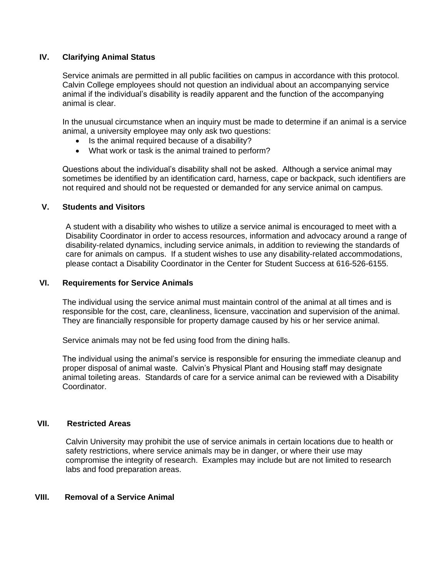## **IV. Clarifying Animal Status**

Service animals are permitted in all public facilities on campus in accordance with this protocol. Calvin College employees should not question an individual about an accompanying service animal if the individual's disability is readily apparent and the function of the accompanying animal is clear.

In the unusual circumstance when an inquiry must be made to determine if an animal is a service animal, a university employee may only ask two questions:

- Is the animal required because of a disability?
- What work or task is the animal trained to perform?

Questions about the individual's disability shall not be asked. Although a service animal may sometimes be identified by an identification card, harness, cape or backpack, such identifiers are not required and should not be requested or demanded for any service animal on campus.

#### **V. Students and Visitors**

A student with a disability who wishes to utilize a service animal is encouraged to meet with a Disability Coordinator in order to access resources, information and advocacy around a range of disability-related dynamics, including service animals, in addition to reviewing the standards of care for animals on campus. If a student wishes to use any disability-related accommodations, please contact a Disability Coordinator in the Center for Student Success at 616-526-6155.

### **VI. Requirements for Service Animals**

The individual using the service animal must maintain control of the animal at all times and is responsible for the cost, care, cleanliness, licensure, vaccination and supervision of the animal. They are financially responsible for property damage caused by his or her service animal.

Service animals may not be fed using food from the dining halls.

The individual using the animal's service is responsible for ensuring the immediate cleanup and proper disposal of animal waste. Calvin's Physical Plant and Housing staff may designate animal toileting areas. Standards of care for a service animal can be reviewed with a Disability Coordinator.

# **VII. Restricted Areas**

Calvin University may prohibit the use of service animals in certain locations due to health or safety restrictions, where service animals may be in danger, or where their use may compromise the integrity of research. Examples may include but are not limited to research labs and food preparation areas.

#### **VIII. Removal of a Service Animal**